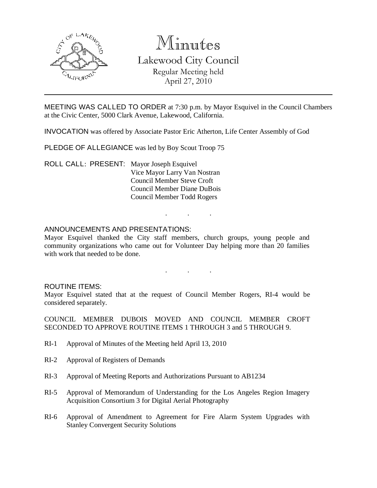

# Minutes Lakewood City Council Regular Meeting held April 27, 2010

MEETING WAS CALLED TO ORDER at 7:30 p.m. by Mayor Esquivel in the Council Chambers at the Civic Center, 5000 Clark Avenue, Lakewood, California.

INVOCATION was offered by Associate Pastor Eric Atherton, Life Center Assembly of God

PLEDGE OF ALLEGIANCE was led by Boy Scout Troop 75

ROLL CALL: PRESENT: Mayor Joseph Esquivel Vice Mayor Larry Van Nostran Council Member Steve Croft Council Member Diane DuBois Council Member Todd Rogers

### ANNOUNCEMENTS AND PRESENTATIONS:

Mayor Esquivel thanked the City staff members, church groups, young people and community organizations who came out for Volunteer Day helping more than 20 families with work that needed to be done.

. . .

. . .

#### ROUTINE ITEMS:

Mayor Esquivel stated that at the request of Council Member Rogers, RI-4 would be considered separately.

COUNCIL MEMBER DUBOIS MOVED AND COUNCIL MEMBER CROFT SECONDED TO APPROVE ROUTINE ITEMS 1 THROUGH 3 and 5 THROUGH 9.

- RI-1 Approval of Minutes of the Meeting held April 13, 2010
- RI-2 Approval of Registers of Demands
- RI-3 Approval of Meeting Reports and Authorizations Pursuant to AB1234
- RI-5 Approval of Memorandum of Understanding for the Los Angeles Region Imagery Acquisition Consortium 3 for Digital Aerial Photography
- RI-6 Approval of Amendment to Agreement for Fire Alarm System Upgrades with Stanley Convergent Security Solutions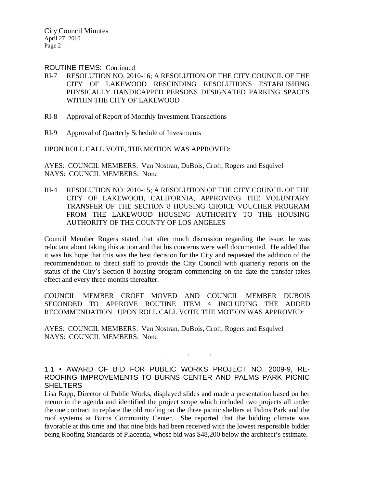ROUTINE ITEMS: Continued

- RI-7 RESOLUTION NO. 2010-16; A RESOLUTION OF THE CITY COUNCIL OF THE CITY OF LAKEWOOD RESCINDING RESOLUTIONS ESTABLISHING PHYSICALLY HANDICAPPED PERSONS DESIGNATED PARKING SPACES WITHIN THE CITY OF LAKEWOOD
- RI-8 Approval of Report of Monthly Investment Transactions
- RI-9 Approval of Quarterly Schedule of Investments

UPON ROLL CALL VOTE, THE MOTION WAS APPROVED:

AYES: COUNCIL MEMBERS: Van Nostran, DuBois, Croft, Rogers and Esquivel NAYS: COUNCIL MEMBERS: None

RI-4 RESOLUTION NO. 2010-15; A RESOLUTION OF THE CITY COUNCIL OF THE CITY OF LAKEWOOD, CALIFORNIA, APPROVING THE VOLUNTARY TRANSFER OF THE SECTION 8 HOUSING CHOICE VOUCHER PROGRAM FROM THE LAKEWOOD HOUSING AUTHORITY TO THE HOUSING AUTHORITY OF THE COUNTY OF LOS ANGELES

Council Member Rogers stated that after much discussion regarding the issue, he was reluctant about taking this action and that his concerns were well documented. He added that it was his hope that this was the best decision for the City and requested the addition of the recommendation to direct staff to provide the City Council with quarterly reports on the status of the City's Section 8 housing program commencing on the date the transfer takes effect and every three months thereafter.

COUNCIL MEMBER CROFT MOVED AND COUNCIL MEMBER DUBOIS SECONDED TO APPROVE ROUTINE ITEM 4 INCLUDING THE ADDED RECOMMENDATION. UPON ROLL CALL VOTE, THE MOTION WAS APPROVED:

AYES: COUNCIL MEMBERS: Van Nostran, DuBois, Croft, Rogers and Esquivel NAYS: COUNCIL MEMBERS: None

1.1 • AWARD OF BID FOR PUBLIC WORKS PROJECT NO. 2009-9, RE-ROOFING IMPROVEMENTS TO BURNS CENTER AND PALMS PARK PICNIC **SHELTERS** 

. . .

Lisa Rapp, Director of Public Works, displayed slides and made a presentation based on her memo in the agenda and identified the project scope which included two projects all under the one contract to replace the old roofing on the three picnic shelters at Palms Park and the roof systems at Burns Community Center. She reported that the bidding climate was favorable at this time and that nine bids had been received with the lowest responsible bidder being Roofing Standards of Placentia, whose bid was \$48,200 below the architect's estimate.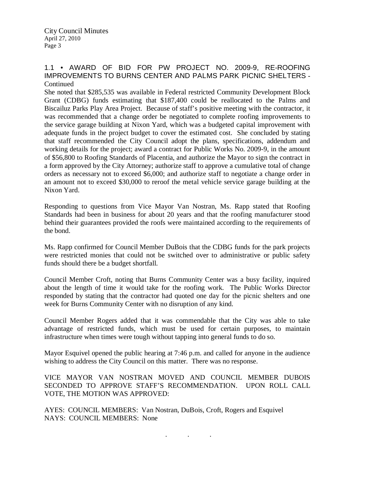## 1.1 • AWARD OF BID FOR PW PROJECT NO. 2009-9, RE-ROOFING IMPROVEMENTS TO BURNS CENTER AND PALMS PARK PICNIC SHELTERS - Continued

She noted that \$285,535 was available in Federal restricted Community Development Block Grant (CDBG) funds estimating that \$187,400 could be reallocated to the Palms and Biscailuz Parks Play Area Project. Because of staff's positive meeting with the contractor, it was recommended that a change order be negotiated to complete roofing improvements to the service garage building at Nixon Yard, which was a budgeted capital improvement with adequate funds in the project budget to cover the estimated cost. She concluded by stating that staff recommended the City Council adopt the plans, specifications, addendum and working details for the project; award a contract for Public Works No. 2009-9, in the amount of \$56,800 to Roofing Standards of Placentia, and authorize the Mayor to sign the contract in a form approved by the City Attorney; authorize staff to approve a cumulative total of change orders as necessary not to exceed \$6,000; and authorize staff to negotiate a change order in an amount not to exceed \$30,000 to reroof the metal vehicle service garage building at the Nixon Yard.

Responding to questions from Vice Mayor Van Nostran, Ms. Rapp stated that Roofing Standards had been in business for about 20 years and that the roofing manufacturer stood behind their guarantees provided the roofs were maintained according to the requirements of the bond.

Ms. Rapp confirmed for Council Member DuBois that the CDBG funds for the park projects were restricted monies that could not be switched over to administrative or public safety funds should there be a budget shortfall.

Council Member Croft, noting that Burns Community Center was a busy facility, inquired about the length of time it would take for the roofing work. The Public Works Director responded by stating that the contractor had quoted one day for the picnic shelters and one week for Burns Community Center with no disruption of any kind.

Council Member Rogers added that it was commendable that the City was able to take advantage of restricted funds, which must be used for certain purposes, to maintain infrastructure when times were tough without tapping into general funds to do so.

Mayor Esquivel opened the public hearing at 7:46 p.m. and called for anyone in the audience wishing to address the City Council on this matter. There was no response.

VICE MAYOR VAN NOSTRAN MOVED AND COUNCIL MEMBER DUBOIS SECONDED TO APPROVE STAFF'S RECOMMENDATION. UPON ROLL CALL VOTE, THE MOTION WAS APPROVED:

AYES: COUNCIL MEMBERS: Van Nostran, DuBois, Croft, Rogers and Esquivel NAYS: COUNCIL MEMBERS: None

. . .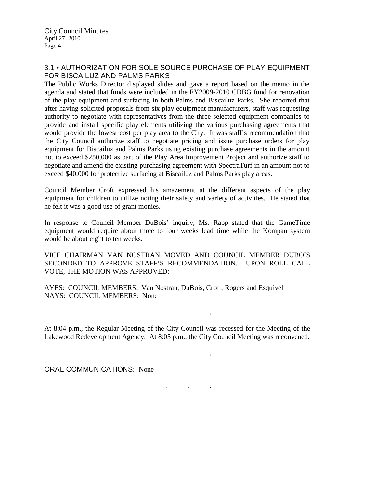# 3.1 • AUTHORIZATION FOR SOLE SOURCE PURCHASE OF PLAY EQUIPMENT FOR BISCAILUZ AND PALMS PARKS

The Public Works Director displayed slides and gave a report based on the memo in the agenda and stated that funds were included in the FY2009-2010 CDBG fund for renovation of the play equipment and surfacing in both Palms and Biscailuz Parks. She reported that after having solicited proposals from six play equipment manufacturers, staff was requesting authority to negotiate with representatives from the three selected equipment companies to provide and install specific play elements utilizing the various purchasing agreements that would provide the lowest cost per play area to the City. It was staff's recommendation that the City Council authorize staff to negotiate pricing and issue purchase orders for play equipment for Biscailuz and Palms Parks using existing purchase agreements in the amount not to exceed \$250,000 as part of the Play Area Improvement Project and authorize staff to negotiate and amend the existing purchasing agreement with SpectraTurf in an amount not to exceed \$40,000 for protective surfacing at Biscailuz and Palms Parks play areas.

Council Member Croft expressed his amazement at the different aspects of the play equipment for children to utilize noting their safety and variety of activities. He stated that he felt it was a good use of grant monies.

In response to Council Member DuBois' inquiry, Ms. Rapp stated that the GameTime equipment would require about three to four weeks lead time while the Kompan system would be about eight to ten weeks.

VICE CHAIRMAN VAN NOSTRAN MOVED AND COUNCIL MEMBER DUBOIS SECONDED TO APPROVE STAFF'S RECOMMENDATION. UPON ROLL CALL VOTE, THE MOTION WAS APPROVED:

AYES: COUNCIL MEMBERS: Van Nostran, DuBois, Croft, Rogers and Esquivel NAYS: COUNCIL MEMBERS: None

. . .

At 8:04 p.m., the Regular Meeting of the City Council was recessed for the Meeting of the Lakewood Redevelopment Agency. At 8:05 p.m., the City Council Meeting was reconvened.

. . .

. . .

ORAL COMMUNICATIONS: None